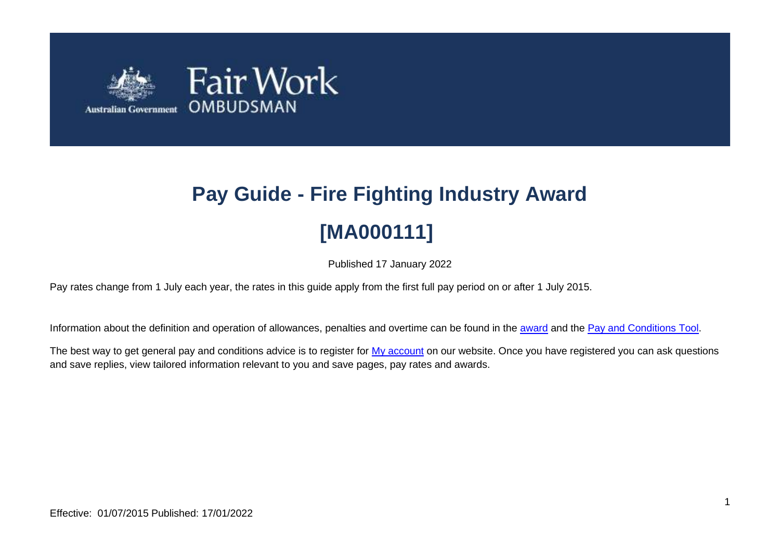

# **Pay Guide - Fire Fighting Industry Award [MA000111]**

Published 17 January 2022

Pay rates change from 1 July each year, the rates in this guide apply from the first full pay period on or after 1 July 2015.

Information about the definition and operation of allowances, penalties and overtime can be found in the [award](https://www.fairwork.gov.au/awards-and-agreements/awards/list-of-awards) and the [Pay and Conditions Tool.](https://calculate.fairwork.gov.au/)

The best way to get general pay and conditions advice is to register for [My account](https://www.fairwork.gov.au/my-account/registerpage.aspx) on our website. Once you have registered you can ask questions and save replies, view tailored information relevant to you and save pages, pay rates and awards.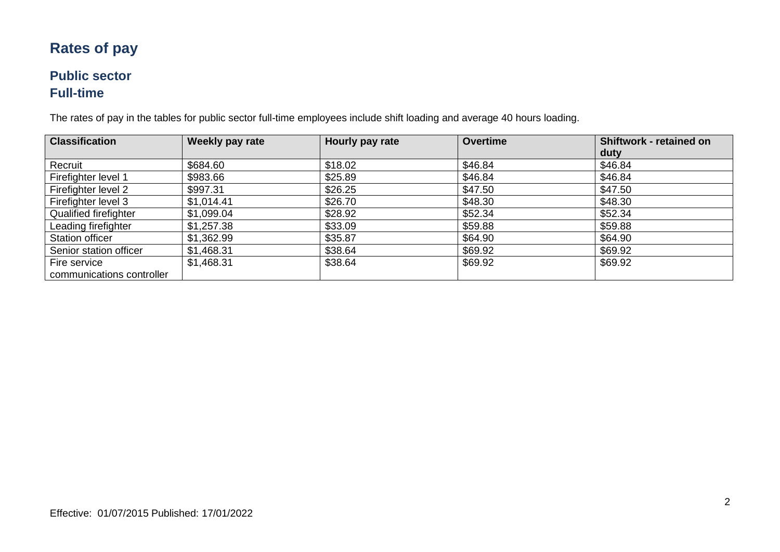## **Rates of pay**

#### **Public sector Full-time**

The rates of pay in the tables for public sector full-time employees include shift loading and average 40 hours loading.

| <b>Classification</b>     | Weekly pay rate | Hourly pay rate | <b>Overtime</b> | <b>Shiftwork - retained on</b> |
|---------------------------|-----------------|-----------------|-----------------|--------------------------------|
|                           |                 |                 |                 | duty                           |
| Recruit                   | \$684.60        | \$18.02         | \$46.84         | \$46.84                        |
| Firefighter level 1       | \$983.66        | \$25.89         | \$46.84         | \$46.84                        |
| Firefighter level 2       | \$997.31        | \$26.25         | \$47.50         | \$47.50                        |
| Firefighter level 3       | \$1,014.41      | \$26.70         | \$48.30         | \$48.30                        |
| Qualified firefighter     | \$1,099.04      | \$28.92         | \$52.34         | \$52.34                        |
| Leading firefighter       | \$1,257.38      | \$33.09         | \$59.88         | \$59.88                        |
| Station officer           | \$1,362.99      | \$35.87         | \$64.90         | \$64.90                        |
| Senior station officer    | \$1,468.31      | \$38.64         | \$69.92         | \$69.92                        |
| Fire service              | \$1,468.31      | \$38.64         | \$69.92         | \$69.92                        |
| communications controller |                 |                 |                 |                                |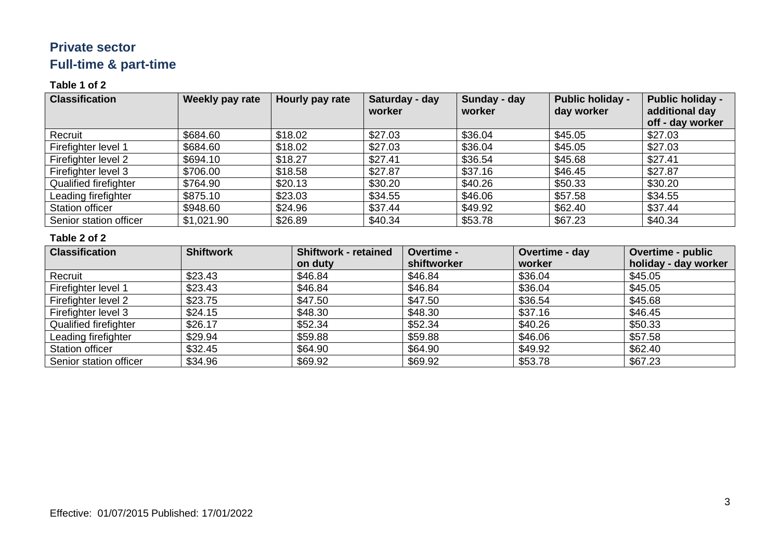### **Private sector Full-time & part-time**

#### **Table 1 of 2**

| <b>Classification</b>  | Weekly pay rate | Hourly pay rate | Saturday - day<br>worker | Sunday - day<br>worker | <b>Public holiday -</b><br>day worker | <b>Public holiday -</b><br>additional day<br>off - day worker |
|------------------------|-----------------|-----------------|--------------------------|------------------------|---------------------------------------|---------------------------------------------------------------|
| Recruit                | \$684.60        | \$18.02         | \$27.03                  | \$36.04                | \$45.05                               | \$27.03                                                       |
| Firefighter level 1    | \$684.60        | \$18.02         | \$27.03                  | \$36.04                | \$45.05                               | \$27.03                                                       |
| Firefighter level 2    | \$694.10        | \$18.27         | \$27.41                  | \$36.54                | \$45.68                               | \$27.41                                                       |
| Firefighter level 3    | \$706.00        | \$18.58         | \$27.87                  | \$37.16                | \$46.45                               | \$27.87                                                       |
| Qualified firefighter  | \$764.90        | \$20.13         | \$30.20                  | \$40.26                | \$50.33                               | \$30.20                                                       |
| Leading firefighter    | \$875.10        | \$23.03         | \$34.55                  | \$46.06                | \$57.58                               | \$34.55                                                       |
| Station officer        | \$948.60        | \$24.96         | \$37.44                  | \$49.92                | \$62.40                               | \$37.44                                                       |
| Senior station officer | \$1,021.90      | \$26.89         | \$40.34                  | \$53.78                | \$67.23                               | \$40.34                                                       |

#### **Table 2 of 2**

| <b>Classification</b>        | <b>Shiftwork</b> | <b>Shiftwork - retained</b> | Overtime -  | Overtime - day | <b>Overtime - public</b> |
|------------------------------|------------------|-----------------------------|-------------|----------------|--------------------------|
|                              |                  | on duty                     | shiftworker | worker         | holiday - day worker     |
| Recruit                      | \$23.43          | \$46.84                     | \$46.84     | \$36.04        | \$45.05                  |
| Firefighter level 1          | \$23.43          | \$46.84                     | \$46.84     | \$36.04        | \$45.05                  |
| Firefighter level 2          | \$23.75          | \$47.50                     | \$47.50     | \$36.54        | \$45.68                  |
| Firefighter level 3          | \$24.15          | \$48.30                     | \$48.30     | \$37.16        | \$46.45                  |
| <b>Qualified firefighter</b> | \$26.17          | \$52.34                     | \$52.34     | \$40.26        | \$50.33                  |
| Leading firefighter          | \$29.94          | \$59.88                     | \$59.88     | \$46.06        | \$57.58                  |
| <b>Station officer</b>       | \$32.45          | \$64.90                     | \$64.90     | \$49.92        | \$62.40                  |
| Senior station officer       | \$34.96          | \$69.92                     | \$69.92     | \$53.78        | \$67.23                  |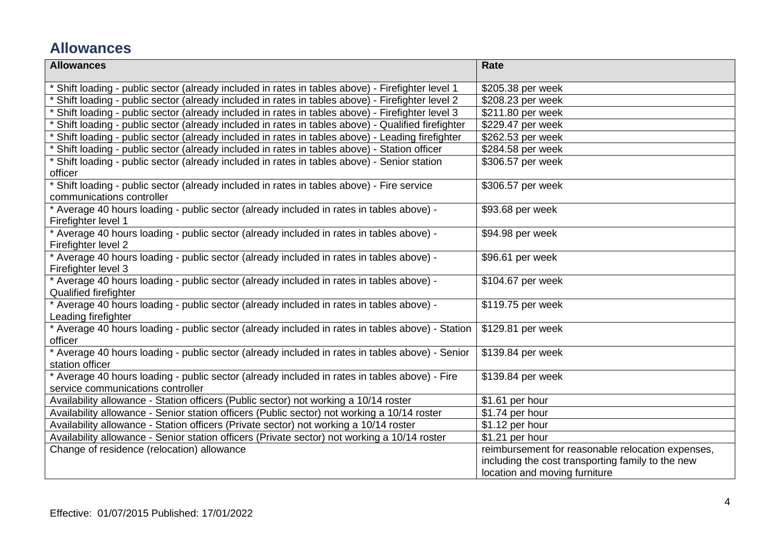## **Allowances**

| <b>Allowances</b>                                                                                                                  | Rate                                              |  |
|------------------------------------------------------------------------------------------------------------------------------------|---------------------------------------------------|--|
| Shift loading - public sector (already included in rates in tables above) - Firefighter level 1                                    | \$205.38 per week                                 |  |
| Shift loading - public sector (already included in rates in tables above) - Firefighter level 2                                    | \$208.23 per week                                 |  |
| Shift loading - public sector (already included in rates in tables above) - Firefighter level 3                                    | \$211.80 per week                                 |  |
| Shift loading - public sector (already included in rates in tables above) - Qualified firefighter                                  | \$229.47 per week                                 |  |
| Shift loading - public sector (already included in rates in tables above) - Leading firefighter                                    | \$262.53 per week                                 |  |
| Shift loading - public sector (already included in rates in tables above) - Station officer                                        | \$284.58 per week                                 |  |
| Shift loading - public sector (already included in rates in tables above) - Senior station<br>officer                              | \$306.57 per week                                 |  |
| Shift loading - public sector (already included in rates in tables above) - Fire service<br>communications controller              | \$306.57 per week                                 |  |
| * Average 40 hours loading - public sector (already included in rates in tables above) -<br>Firefighter level 1                    | \$93.68 per week                                  |  |
| * Average 40 hours loading - public sector (already included in rates in tables above) -<br>Firefighter level 2                    | \$94.98 per week                                  |  |
| * Average 40 hours loading - public sector (already included in rates in tables above) -<br>Firefighter level 3                    | \$96.61 per week                                  |  |
| * Average 40 hours loading - public sector (already included in rates in tables above) -<br><b>Qualified firefighter</b>           | \$104.67 per week                                 |  |
| * Average 40 hours loading - public sector (already included in rates in tables above) -<br>Leading firefighter                    | \$119.75 per week                                 |  |
| * Average 40 hours loading - public sector (already included in rates in tables above) - Station<br>officer                        | \$129.81 per week                                 |  |
| Average 40 hours loading - public sector (already included in rates in tables above) - Senior<br>station officer                   | \$139.84 per week                                 |  |
| * Average 40 hours loading - public sector (already included in rates in tables above) - Fire<br>service communications controller | \$139.84 per week                                 |  |
| Availability allowance - Station officers (Public sector) not working a 10/14 roster                                               | \$1.61 per hour                                   |  |
| Availability allowance - Senior station officers (Public sector) not working a 10/14 roster                                        | \$1.74 per hour                                   |  |
| Availability allowance - Station officers (Private sector) not working a 10/14 roster                                              | \$1.12 per hour                                   |  |
| Availability allowance - Senior station officers (Private sector) not working a 10/14 roster                                       | \$1.21 per hour                                   |  |
| Change of residence (relocation) allowance                                                                                         | reimbursement for reasonable relocation expenses, |  |
|                                                                                                                                    | including the cost transporting family to the new |  |
|                                                                                                                                    | location and moving furniture                     |  |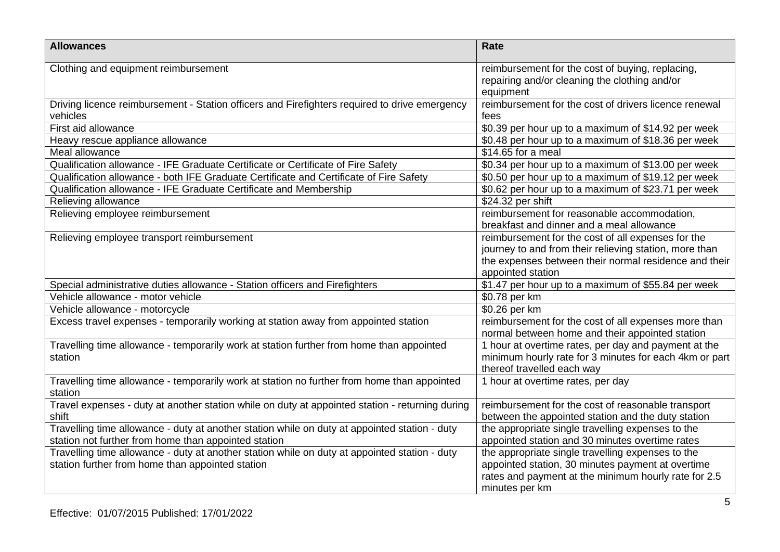| <b>Allowances</b>                                                                                                                                     | <b>Rate</b>                                                                                                                                                                                |
|-------------------------------------------------------------------------------------------------------------------------------------------------------|--------------------------------------------------------------------------------------------------------------------------------------------------------------------------------------------|
| Clothing and equipment reimbursement                                                                                                                  | reimbursement for the cost of buying, replacing,<br>repairing and/or cleaning the clothing and/or<br>equipment                                                                             |
| Driving licence reimbursement - Station officers and Firefighters required to drive emergency<br>vehicles                                             | reimbursement for the cost of drivers licence renewal<br>fees                                                                                                                              |
| First aid allowance                                                                                                                                   | \$0.39 per hour up to a maximum of \$14.92 per week                                                                                                                                        |
| Heavy rescue appliance allowance                                                                                                                      | \$0.48 per hour up to a maximum of \$18.36 per week                                                                                                                                        |
| Meal allowance                                                                                                                                        | \$14.65 for a meal                                                                                                                                                                         |
| Qualification allowance - IFE Graduate Certificate or Certificate of Fire Safety                                                                      | \$0.34 per hour up to a maximum of \$13.00 per week                                                                                                                                        |
| Qualification allowance - both IFE Graduate Certificate and Certificate of Fire Safety                                                                | \$0.50 per hour up to a maximum of \$19.12 per week                                                                                                                                        |
| Qualification allowance - IFE Graduate Certificate and Membership                                                                                     | \$0.62 per hour up to a maximum of \$23.71 per week                                                                                                                                        |
| Relieving allowance                                                                                                                                   | \$24.32 per shift                                                                                                                                                                          |
| Relieving employee reimbursement                                                                                                                      | reimbursement for reasonable accommodation,<br>breakfast and dinner and a meal allowance                                                                                                   |
| Relieving employee transport reimbursement                                                                                                            | reimbursement for the cost of all expenses for the<br>journey to and from their relieving station, more than<br>the expenses between their normal residence and their<br>appointed station |
| Special administrative duties allowance - Station officers and Firefighters                                                                           | \$1.47 per hour up to a maximum of \$55.84 per week                                                                                                                                        |
| Vehicle allowance - motor vehicle                                                                                                                     | \$0.78 per km                                                                                                                                                                              |
| Vehicle allowance - motorcycle                                                                                                                        | \$0.26 per km                                                                                                                                                                              |
| Excess travel expenses - temporarily working at station away from appointed station                                                                   | reimbursement for the cost of all expenses more than<br>normal between home and their appointed station                                                                                    |
| Travelling time allowance - temporarily work at station further from home than appointed<br>station                                                   | 1 hour at overtime rates, per day and payment at the<br>minimum hourly rate for 3 minutes for each 4km or part<br>thereof travelled each way                                               |
| Travelling time allowance - temporarily work at station no further from home than appointed<br>station                                                | 1 hour at overtime rates, per day                                                                                                                                                          |
| Travel expenses - duty at another station while on duty at appointed station - returning during<br>shift                                              | reimbursement for the cost of reasonable transport<br>between the appointed station and the duty station                                                                                   |
| Travelling time allowance - duty at another station while on duty at appointed station - duty<br>station not further from home than appointed station | the appropriate single travelling expenses to the<br>appointed station and 30 minutes overtime rates                                                                                       |
| Travelling time allowance - duty at another station while on duty at appointed station - duty<br>station further from home than appointed station     | the appropriate single travelling expenses to the<br>appointed station, 30 minutes payment at overtime<br>rates and payment at the minimum hourly rate for 2.5<br>minutes per km           |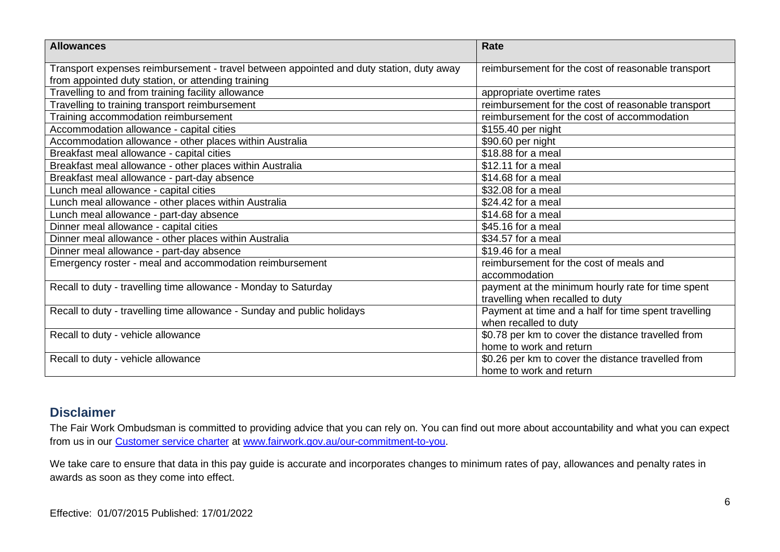| <b>Allowances</b>                                                                                                                             | Rate                                                                                  |  |
|-----------------------------------------------------------------------------------------------------------------------------------------------|---------------------------------------------------------------------------------------|--|
| Transport expenses reimbursement - travel between appointed and duty station, duty away<br>from appointed duty station, or attending training | reimbursement for the cost of reasonable transport                                    |  |
| Travelling to and from training facility allowance                                                                                            | appropriate overtime rates                                                            |  |
| Travelling to training transport reimbursement                                                                                                | reimbursement for the cost of reasonable transport                                    |  |
| Training accommodation reimbursement                                                                                                          | reimbursement for the cost of accommodation                                           |  |
| Accommodation allowance - capital cities                                                                                                      | \$155.40 per night                                                                    |  |
| Accommodation allowance - other places within Australia                                                                                       | \$90.60 per night                                                                     |  |
| Breakfast meal allowance - capital cities                                                                                                     | \$18.88 for a meal                                                                    |  |
| Breakfast meal allowance - other places within Australia                                                                                      | \$12.11 for a meal                                                                    |  |
| Breakfast meal allowance - part-day absence                                                                                                   | \$14.68 for a meal                                                                    |  |
| Lunch meal allowance - capital cities                                                                                                         | \$32.08 for a meal                                                                    |  |
| Lunch meal allowance - other places within Australia                                                                                          | \$24.42 for a meal                                                                    |  |
| Lunch meal allowance - part-day absence                                                                                                       | \$14.68 for a meal                                                                    |  |
| Dinner meal allowance - capital cities                                                                                                        | \$45.16 for a meal                                                                    |  |
| Dinner meal allowance - other places within Australia                                                                                         | \$34.57 for a meal                                                                    |  |
| Dinner meal allowance - part-day absence                                                                                                      | \$19.46 for a meal                                                                    |  |
| Emergency roster - meal and accommodation reimbursement                                                                                       | reimbursement for the cost of meals and<br>accommodation                              |  |
| Recall to duty - travelling time allowance - Monday to Saturday                                                                               | payment at the minimum hourly rate for time spent<br>travelling when recalled to duty |  |
| Recall to duty - travelling time allowance - Sunday and public holidays                                                                       | Payment at time and a half for time spent travelling                                  |  |
|                                                                                                                                               | when recalled to duty                                                                 |  |
| Recall to duty - vehicle allowance                                                                                                            | \$0.78 per km to cover the distance travelled from                                    |  |
|                                                                                                                                               | home to work and return                                                               |  |
| Recall to duty - vehicle allowance                                                                                                            | \$0.26 per km to cover the distance travelled from                                    |  |
|                                                                                                                                               | home to work and return                                                               |  |

#### **Disclaimer**

The Fair Work Ombudsman is committed to providing advice that you can rely on. You can find out more about accountability and what you can expect from us in our [Customer service charter](https://www.fairwork.gov.au/about-us/our-role-and-purpose/our-priorities/our-commitment-to-you#customer-service-charter) at [www.fairwork.gov.au/our-commitment-to-you.](http://www.fairwork.gov.au/our-commitment-to-you)

We take care to ensure that data in this pay guide is accurate and incorporates changes to minimum rates of pay, allowances and penalty rates in awards as soon as they come into effect.